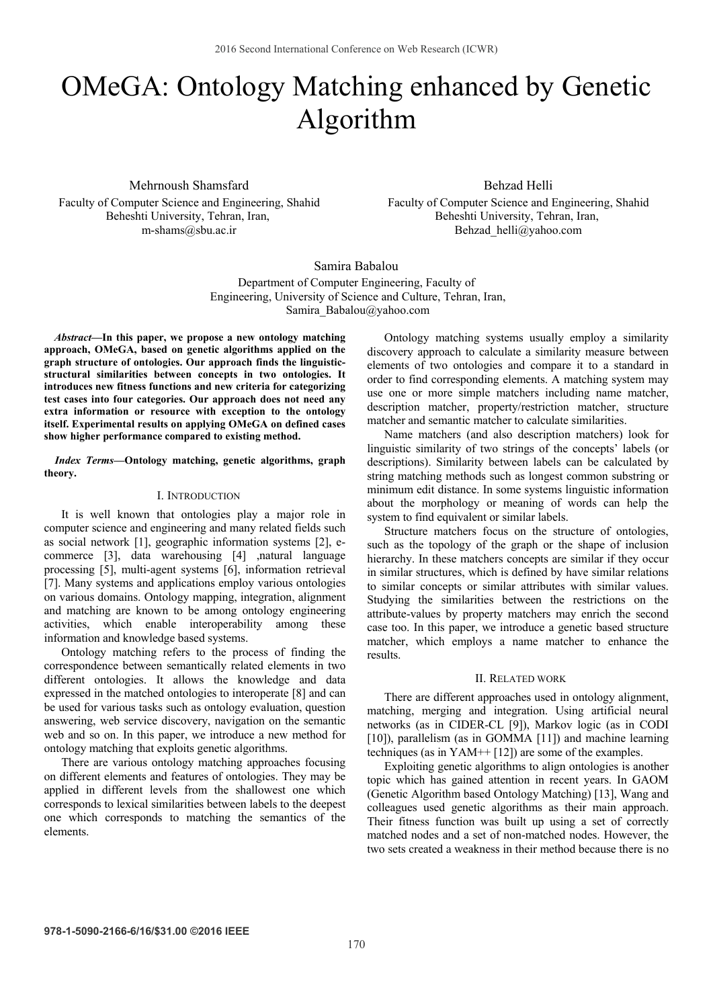# OMeGA: Ontology Matching enhanced by Genetic Algorithm

Mehrnoush Shamsfard Faculty of Computer Science and Engineering, Shahid Beheshti University, Tehran, Iran, m-shams@sbu.ac.ir

Behzad Helli Faculty of Computer Science and Engineering, Shahid Beheshti University, Tehran, Iran, Behzad\_helli@yahoo.com

# Samira Babalou Department of Computer Engineering, Faculty of Engineering, University of Science and Culture, Tehran, Iran, Samira\_Babalou@yahoo.com

*Abstract***—In this paper, we propose a new ontology matching approach, OMeGA, based on genetic algorithms applied on the graph structure of ontologies. Our approach finds the linguisticstructural similarities between concepts in two ontologies. It introduces new fitness functions and new criteria for categorizing test cases into four categories. Our approach does not need any extra information or resource with exception to the ontology itself. Experimental results on applying OMeGA on defined cases show higher performance compared to existing method.** 

*Index Terms***—Ontology matching, genetic algorithms, graph theory.** 

### I. INTRODUCTION

It is well known that ontologies play a major role in computer science and engineering and many related fields such as social network [1], geographic information systems [2], ecommerce [3], data warehousing [4] ,natural language processing [5], multi-agent systems [6], information retrieval [7]. Many systems and applications employ various ontologies on various domains. Ontology mapping, integration, alignment and matching are known to be among ontology engineering activities, which enable interoperability among these information and knowledge based systems.

Ontology matching refers to the process of finding the correspondence between semantically related elements in two different ontologies. It allows the knowledge and data expressed in the matched ontologies to interoperate [8] and can be used for various tasks such as ontology evaluation, question answering, web service discovery, navigation on the semantic web and so on. In this paper, we introduce a new method for ontology matching that exploits genetic algorithms.

There are various ontology matching approaches focusing on different elements and features of ontologies. They may be applied in different levels from the shallowest one which corresponds to lexical similarities between labels to the deepest one which corresponds to matching the semantics of the elements.

Ontology matching systems usually employ a similarity discovery approach to calculate a similarity measure between elements of two ontologies and compare it to a standard in order to find corresponding elements. A matching system may use one or more simple matchers including name matcher, description matcher, property/restriction matcher, structure matcher and semantic matcher to calculate similarities.

Name matchers (and also description matchers) look for linguistic similarity of two strings of the concepts' labels (or descriptions). Similarity between labels can be calculated by string matching methods such as longest common substring or minimum edit distance. In some systems linguistic information about the morphology or meaning of words can help the system to find equivalent or similar labels.

Structure matchers focus on the structure of ontologies, such as the topology of the graph or the shape of inclusion hierarchy. In these matchers concepts are similar if they occur in similar structures, which is defined by have similar relations to similar concepts or similar attributes with similar values. Studying the similarities between the restrictions on the attribute-values by property matchers may enrich the second case too. In this paper, we introduce a genetic based structure matcher, which employs a name matcher to enhance the results.

### II. RELATED WORK

There are different approaches used in ontology alignment, matching, merging and integration. Using artificial neural networks (as in CIDER-CL [9]), Markov logic (as in CODI [10]), parallelism (as in GOMMA [11]) and machine learning techniques (as in YAM++ [12]) are some of the examples.

Exploiting genetic algorithms to align ontologies is another topic which has gained attention in recent years. In GAOM (Genetic Algorithm based Ontology Matching) [13], Wang and colleagues used genetic algorithms as their main approach. Their fitness function was built up using a set of correctly matched nodes and a set of non-matched nodes. However, the two sets created a weakness in their method because there is no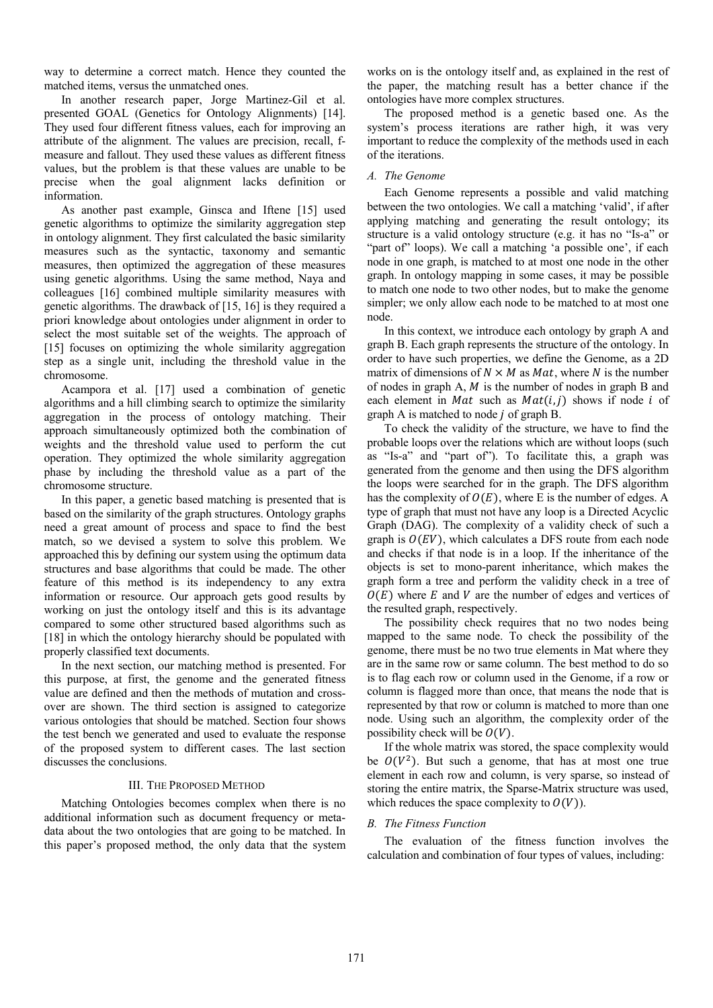way to determine a correct match. Hence they counted the matched items, versus the unmatched ones.

In another research paper, Jorge Martinez-Gil et al. presented GOAL (Genetics for Ontology Alignments) [14]. They used four different fitness values, each for improving an attribute of the alignment. The values are precision, recall, fmeasure and fallout. They used these values as different fitness values, but the problem is that these values are unable to be precise when the goal alignment lacks definition or information.

As another past example, Ginsca and Iftene [15] used genetic algorithms to optimize the similarity aggregation step in ontology alignment. They first calculated the basic similarity measures such as the syntactic, taxonomy and semantic measures, then optimized the aggregation of these measures using genetic algorithms. Using the same method, Naya and colleagues [16] combined multiple similarity measures with genetic algorithms. The drawback of [15, 16] is they required a priori knowledge about ontologies under alignment in order to select the most suitable set of the weights. The approach of [15] focuses on optimizing the whole similarity aggregation step as a single unit, including the threshold value in the chromosome.

Acampora et al. [17] used a combination of genetic algorithms and a hill climbing search to optimize the similarity aggregation in the process of ontology matching. Their approach simultaneously optimized both the combination of weights and the threshold value used to perform the cut operation. They optimized the whole similarity aggregation phase by including the threshold value as a part of the chromosome structure.

In this paper, a genetic based matching is presented that is based on the similarity of the graph structures. Ontology graphs need a great amount of process and space to find the best match, so we devised a system to solve this problem. We approached this by defining our system using the optimum data structures and base algorithms that could be made. The other feature of this method is its independency to any extra information or resource. Our approach gets good results by working on just the ontology itself and this is its advantage compared to some other structured based algorithms such as [18] in which the ontology hierarchy should be populated with properly classified text documents.

In the next section, our matching method is presented. For this purpose, at first, the genome and the generated fitness value are defined and then the methods of mutation and crossover are shown. The third section is assigned to categorize various ontologies that should be matched. Section four shows the test bench we generated and used to evaluate the response of the proposed system to different cases. The last section discusses the conclusions.

# III. THE PROPOSED METHOD

Matching Ontologies becomes complex when there is no additional information such as document frequency or metadata about the two ontologies that are going to be matched. In this paper's proposed method, the only data that the system

works on is the ontology itself and, as explained in the rest of the paper, the matching result has a better chance if the ontologies have more complex structures.

The proposed method is a genetic based one. As the system's process iterations are rather high, it was very important to reduce the complexity of the methods used in each of the iterations.

# *A. The Genome*

Each Genome represents a possible and valid matching between the two ontologies. We call a matching 'valid', if after applying matching and generating the result ontology; its structure is a valid ontology structure (e.g. it has no "Is-a" or "part of" loops). We call a matching 'a possible one', if each node in one graph, is matched to at most one node in the other graph. In ontology mapping in some cases, it may be possible to match one node to two other nodes, but to make the genome simpler; we only allow each node to be matched to at most one node.

In this context, we introduce each ontology by graph A and graph B. Each graph represents the structure of the ontology. In order to have such properties, we define the Genome, as a 2D matrix of dimensions of  $N \times M$  as  $Mat$ , where N is the number of nodes in graph A,  $M$  is the number of nodes in graph B and each element in Mat such as  $Mat(i, j)$  shows if node i of graph A is matched to node  $j$  of graph B.

To check the validity of the structure, we have to find the probable loops over the relations which are without loops (such as "Is-a" and "part of"). To facilitate this, a graph was generated from the genome and then using the DFS algorithm the loops were searched for in the graph. The DFS algorithm has the complexity of  $O(E)$ , where E is the number of edges. A type of graph that must not have any loop is a Directed Acyclic Graph (DAG). The complexity of a validity check of such a graph is  $O(EV)$ , which calculates a DFS route from each node and checks if that node is in a loop. If the inheritance of the objects is set to mono-parent inheritance, which makes the graph form a tree and perform the validity check in a tree of  $O(E)$  where E and V are the number of edges and vertices of the resulted graph, respectively.

The possibility check requires that no two nodes being mapped to the same node. To check the possibility of the genome, there must be no two true elements in Mat where they are in the same row or same column. The best method to do so is to flag each row or column used in the Genome, if a row or column is flagged more than once, that means the node that is represented by that row or column is matched to more than one node. Using such an algorithm, the complexity order of the possibility check will be  $O(V)$ .

If the whole matrix was stored, the space complexity would be  $O(V^2)$ . But such a genome, that has at most one true element in each row and column, is very sparse, so instead of storing the entire matrix, the Sparse-Matrix structure was used, which reduces the space complexity to  $O(V)$ ).

# *B. The Fitness Function*

The evaluation of the fitness function involves the calculation and combination of four types of values, including: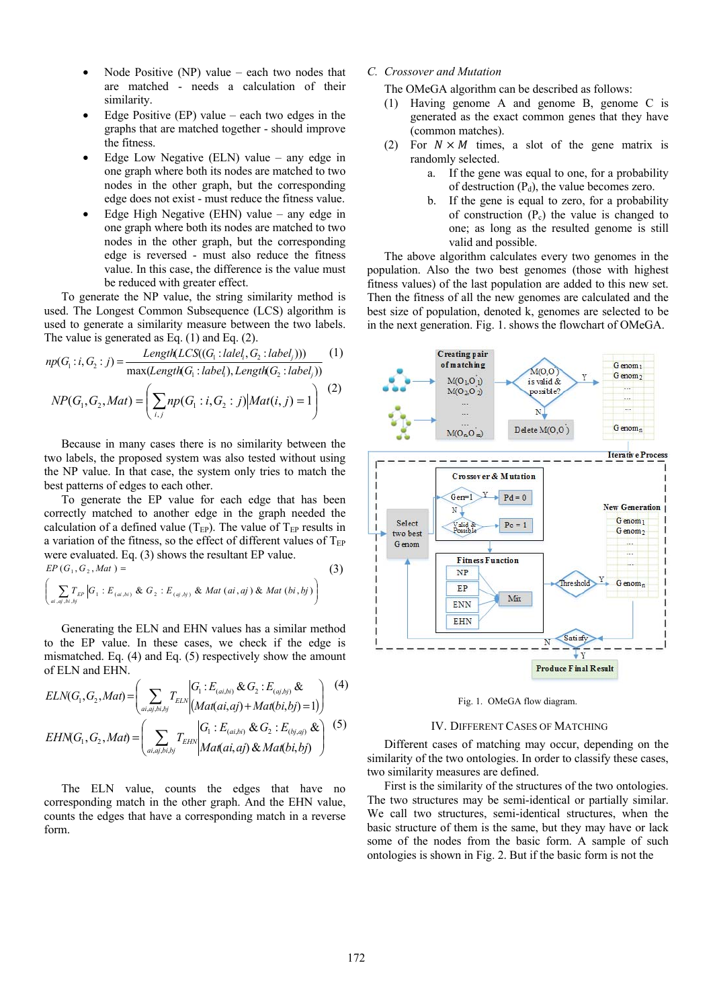- Node Positive (NP) value each two nodes that are matched - needs a calculation of their similarity.
- Edge Positive  $(EP)$  value each two edges in the graphs that are matched together - should improve the fitness.
- Edge Low Negative (ELN) value any edge in one graph where both its nodes are matched to two nodes in the other graph, but the corresponding edge does not exist - must reduce the fitness value.
- Edge High Negative (EHN) value any edge in one graph where both its nodes are matched to two nodes in the other graph, but the corresponding edge is reversed - must also reduce the fitness value. In this case, the difference is the value must be reduced with greater effect.

To generate the NP value, the string similarity method is used. The Longest Common Subsequence (LCS) algorithm is used to generate a similarity measure between the two labels. The value is generated as Eq. (1) and Eq. (2).

$$
np(G_1: i, G_2: j) = \frac{Length(LCS((G_1:lalel_i, G_2:label_j)))}{\max(Length(G_1:label_i), Length(G_2:label_j))}
$$
 (1)

$$
NP(G_1, G_2, Mat) = \left(\sum_{i,j} np(G_1 : i, G_2 : j) | Mat(i,j) = 1\right)
$$
 (2)

Because in many cases there is no similarity between the two labels, the proposed system was also tested without using the NP value. In that case, the system only tries to match the best patterns of edges to each other.

To generate the EP value for each edge that has been correctly matched to another edge in the graph needed the calculation of a defined value ( $T_{EP}$ ). The value of  $T_{EP}$  results in a variation of the fitness, so the effect of different values of  $T_{EP}$ were evaluated. Eq. (3) shows the resultant EP value.  $EP(G_1, G_2, Mat) =$  (3)

$$
\left(\sum_{a_i, a_j, b_i, b_j} T_{EP}\big| G_1 : E_{(a_i, b_i)} \& G_2 : E_{(a_j, b_j)} \& Mat\left(ai, aj\right) \& Mat\left(bi, bj\right)\right)
$$

Generating the ELN and EHN values has a similar method to the EP value. In these cases, we check if the edge is mismatched. Eq. (4) and Eq. (5) respectively show the amount of ELN and EHN.

$$
ELN(G_1, G_2, Mat) = \left(\sum_{a_i, a_j, b_i, b_j} T_{ELN} \middle| \begin{matrix} G_1 : E_{(a_i, b_i)} & G_2 : E_{(a_j, b_j)} & \& \\ (Mat(ai, aj) + Mat(bi, bj) = 1) \end{matrix}\right) \tag{4}
$$

$$
EHNG_1, G_2, Mat) = \left(\sum_{a i, a j, b i, b j} T_{EHN} \middle| G_1 : E_{(a i, b i)} & G_2 : E_{(b j, a j)} & G_3 \right) \tag{5}
$$

The ELN value, counts the edges that have no corresponding match in the other graph. And the EHN value, counts the edges that have a corresponding match in a reverse form.

*C. Crossover and Mutation* 

The OMeGA algorithm can be described as follows:

- (1) Having genome A and genome B, genome C is generated as the exact common genes that they have (common matches).
- (2) For  $N \times M$  times, a slot of the gene matrix is randomly selected.
	- a. If the gene was equal to one, for a probability of destruction  $(P_d)$ , the value becomes zero.
	- b. If the gene is equal to zero, for a probability of construction  $(P_c)$  the value is changed to one; as long as the resulted genome is still valid and possible.

The above algorithm calculates every two genomes in the population. Also the two best genomes (those with highest fitness values) of the last population are added to this new set. Then the fitness of all the new genomes are calculated and the best size of population, denoted k, genomes are selected to be in the next generation. Fig. 1. shows the flowchart of OMeGA.



Fig. 1. OMeGA flow diagram.

# IV. DIFFERENT CASES OF MATCHING

Different cases of matching may occur, depending on the similarity of the two ontologies. In order to classify these cases, two similarity measures are defined.

First is the similarity of the structures of the two ontologies. The two structures may be semi-identical or partially similar. We call two structures, semi-identical structures, when the basic structure of them is the same, but they may have or lack some of the nodes from the basic form. A sample of such ontologies is shown in Fig. 2. But if the basic form is not the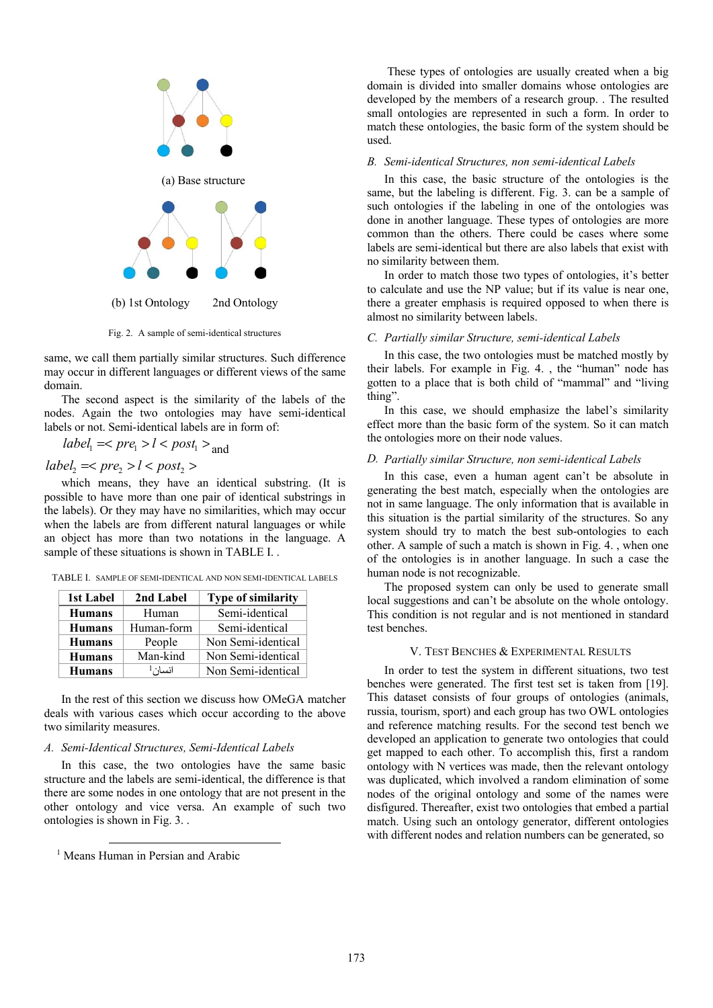

Fig. 2. A sample of semi-identical structures

same, we call them partially similar structures. Such difference may occur in different languages or different views of the same domain.

The second aspect is the similarity of the labels of the nodes. Again the two ontologies may have semi-identical labels or not. Semi-identical labels are in form of:

$$
label_{l} = < pre_{l} > l < post_{l} >_{and}
$$

 $label_2 \leq pre_2 > l < post_2 >$ <br>which means, they have an identical substring. (It is possible to have more than one pair of identical substrings in the labels). Or they may have no similarities, which may occur when the labels are from different natural languages or while an object has more than two notations in the language. A sample of these situations is shown in TABLE I. .

TABLE I. SAMPLE OF SEMI-IDENTICAL AND NON SEMI-IDENTICAL LABELS

| 1st Label     | 2nd Label  | Type of similarity |  |
|---------------|------------|--------------------|--|
| <b>Humans</b> | Human      | Semi-identical     |  |
| <b>Humans</b> | Human-form | Semi-identical     |  |
| <b>Humans</b> | People     | Non Semi-identical |  |
| <b>Humans</b> | Man-kind   | Non Semi-identical |  |
| <b>Humans</b> | انسان ا    | Non Semi-identical |  |

In the rest of this section we discuss how OMeGA matcher deals with various cases which occur according to the above two similarity measures.

### *A. Semi-Identical Structures, Semi-Identical Labels*

In this case, the two ontologies have the same basic structure and the labels are semi-identical, the difference is that there are some nodes in one ontology that are not present in the other ontology and vice versa. An example of such two ontologies is shown in Fig. 3. .

 These types of ontologies are usually created when a big domain is divided into smaller domains whose ontologies are developed by the members of a research group. . The resulted small ontologies are represented in such a form. In order to match these ontologies, the basic form of the system should be used.

### *B. Semi-identical Structures, non semi-identical Labels*

In this case, the basic structure of the ontologies is the same, but the labeling is different. Fig. 3. can be a sample of such ontologies if the labeling in one of the ontologies was done in another language. These types of ontologies are more common than the others. There could be cases where some labels are semi-identical but there are also labels that exist with no similarity between them.

In order to match those two types of ontologies, it's better to calculate and use the NP value; but if its value is near one, there a greater emphasis is required opposed to when there is almost no similarity between labels.

# *C. Partially similar Structure, semi-identical Labels*

In this case, the two ontologies must be matched mostly by their labels. For example in Fig. 4. , the "human" node has gotten to a place that is both child of "mammal" and "living thing".

In this case, we should emphasize the label's similarity effect more than the basic form of the system. So it can match the ontologies more on their node values.

### *D. Partially similar Structure, non semi-identical Labels*

In this case, even a human agent can't be absolute in generating the best match, especially when the ontologies are not in same language. The only information that is available in this situation is the partial similarity of the structures. So any system should try to match the best sub-ontologies to each other. A sample of such a match is shown in Fig. 4. , when one of the ontologies is in another language. In such a case the human node is not recognizable.

The proposed system can only be used to generate small local suggestions and can't be absolute on the whole ontology. This condition is not regular and is not mentioned in standard test benches.

### V. TEST BENCHES & EXPERIMENTAL RESULTS

In order to test the system in different situations, two test benches were generated. The first test set is taken from [19]. This dataset consists of four groups of ontologies (animals, russia, tourism, sport) and each group has two OWL ontologies and reference matching results. For the second test bench we developed an application to generate two ontologies that could get mapped to each other. To accomplish this, first a random ontology with N vertices was made, then the relevant ontology was duplicated, which involved a random elimination of some nodes of the original ontology and some of the names were disfigured. Thereafter, exist two ontologies that embed a partial match. Using such an ontology generator, different ontologies with different nodes and relation numbers can be generated, so

<sup>&</sup>lt;sup>1</sup> Means Human in Persian and Arabic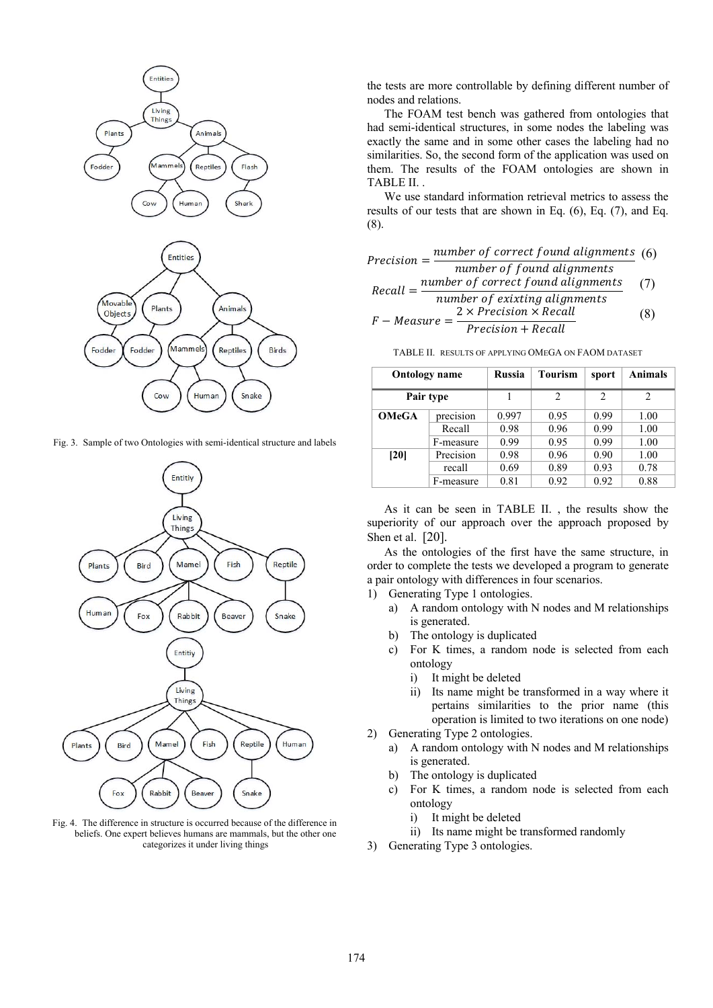

Fig. 3. Sample of two Ontologies with semi-identical structure and labels



Fig. 4. The difference in structure is occurred because of the difference in beliefs. One expert believes humans are mammals, but the other one categorizes it under living things

the tests are more controllable by defining different number of nodes and relations.

The FOAM test bench was gathered from ontologies that had semi-identical structures, in some nodes the labeling was exactly the same and in some other cases the labeling had no similarities. So, the second form of the application was used on them. The results of the FOAM ontologies are shown in TABLE II. .

We use standard information retrieval metrics to assess the results of our tests that are shown in Eq. (6), Eq. (7), and Eq. (8).

$$
Precision = \frac{number\ of\ correct\ found\ alignments}{number\ of\ found\ alignments}
$$
\n
$$
Recall = \frac{number\ of\ correct\ found\ alignments}{number\ of\ existing\ alignments}
$$
\n(7)

$$
F-Measure = \frac{2 \times Precision \times Recall}{Precision + Recall}
$$
 (8)

| <b>Ontology name</b> |           | <b>Russia</b> | <b>Tourism</b> | sport          | <b>Animals</b> |
|----------------------|-----------|---------------|----------------|----------------|----------------|
| Pair type            |           |               | $\mathfrak{D}$ | $\mathfrak{D}$ | $\overline{c}$ |
| <b>OMeGA</b>         | precision | 0.997         | 0.95           | 0.99           | 1.00           |
|                      | Recall    | 0.98          | 0.96           | 0.99           | 1.00           |
|                      | F-measure | 0.99          | 0.95           | 0.99           | 1.00           |
| [20]                 | Precision | 0.98          | 0.96           | 0.90           | 1.00           |
|                      | recall    | 0.69          | 0.89           | 0.93           | 0.78           |
|                      | F-measure | 0.81          | 0.92           | 0.92           | 0.88           |

TABLE II. RESULTS OF APPLYING OMEGA ON FAOM DATASET

As it can be seen in TABLE II. , the results show the superiority of our approach over the approach proposed by Shen et al. [20].

As the ontologies of the first have the same structure, in order to complete the tests we developed a program to generate a pair ontology with differences in four scenarios.

- 1) Generating Type 1 ontologies.
	- a) A random ontology with N nodes and M relationships is generated.
	- b) The ontology is duplicated
	- c) For K times, a random node is selected from each ontology
		- i) It might be deleted
		- ii) Its name might be transformed in a way where it pertains similarities to the prior name (this operation is limited to two iterations on one node)
- 2) Generating Type 2 ontologies.
	- a) A random ontology with N nodes and M relationships is generated.
	- b) The ontology is duplicated
	- c) For K times, a random node is selected from each ontology
		- i) It might be deleted
		- ii) Its name might be transformed randomly
- 3) Generating Type 3 ontologies.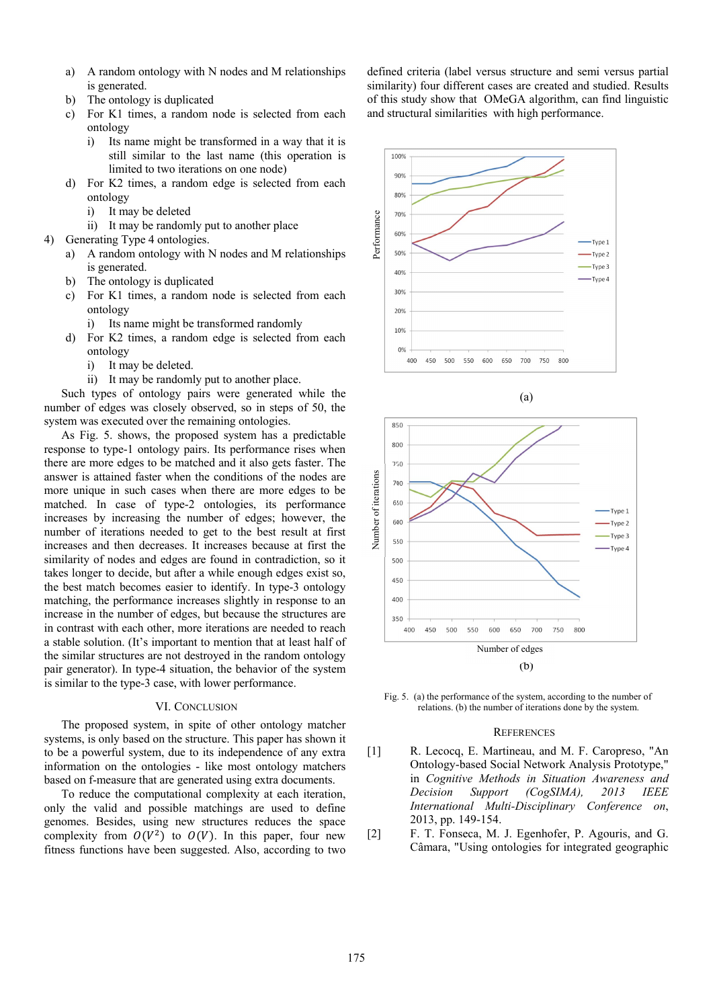- a) A random ontology with N nodes and M relationships is generated.
- b) The ontology is duplicated
- c) For K1 times, a random node is selected from each ontology
	- i) Its name might be transformed in a way that it is still similar to the last name (this operation is limited to two iterations on one node)
- d) For K2 times, a random edge is selected from each ontology
	- i) It may be deleted
	- ii) It may be randomly put to another place
- 4) Generating Type 4 ontologies.
	- a) A random ontology with N nodes and M relationships is generated.
	- b) The ontology is duplicated
	- c) For K1 times, a random node is selected from each ontology
		- i) Its name might be transformed randomly
	- d) For K2 times, a random edge is selected from each ontology
		- i) It may be deleted.
		- ii) It may be randomly put to another place.

Such types of ontology pairs were generated while the number of edges was closely observed, so in steps of 50, the system was executed over the remaining ontologies.

As Fig. 5. shows, the proposed system has a predictable response to type-1 ontology pairs. Its performance rises when there are more edges to be matched and it also gets faster. The answer is attained faster when the conditions of the nodes are more unique in such cases when there are more edges to be matched. In case of type-2 ontologies, its performance increases by increasing the number of edges; however, the number of iterations needed to get to the best result at first increases and then decreases. It increases because at first the similarity of nodes and edges are found in contradiction, so it takes longer to decide, but after a while enough edges exist so, the best match becomes easier to identify. In type-3 ontology matching, the performance increases slightly in response to an increase in the number of edges, but because the structures are in contrast with each other, more iterations are needed to reach a stable solution. (It's important to mention that at least half of the similar structures are not destroyed in the random ontology pair generator). In type-4 situation, the behavior of the system is similar to the type-3 case, with lower performance.

# VI. CONCLUSION

The proposed system, in spite of other ontology matcher systems, is only based on the structure. This paper has shown it to be a powerful system, due to its independence of any extra information on the ontologies - like most ontology matchers based on f-measure that are generated using extra documents.

To reduce the computational complexity at each iteration, only the valid and possible matchings are used to define genomes. Besides, using new structures reduces the space complexity from  $O(V^2)$  to  $O(V)$ . In this paper, four new fitness functions have been suggested. Also, according to two

defined criteria (label versus structure and semi versus partial similarity) four different cases are created and studied. Results of this study show that OMeGA algorithm, can find linguistic and structural similarities with high performance.





Fig. 5. (a) the performance of the system, according to the number of relations. (b) the number of iterations done by the system.

### **REFERENCES**

- [1] R. Lecocq, E. Martineau, and M. F. Caropreso, "An Ontology-based Social Network Analysis Prototype," in *Cognitive Methods in Situation Awareness and Decision Support (CogSIMA), 2013 IEEE International Multi-Disciplinary Conference on*, 2013, pp. 149-154.
- [2] F. T. Fonseca, M. J. Egenhofer, P. Agouris, and G. Câmara, "Using ontologies for integrated geographic